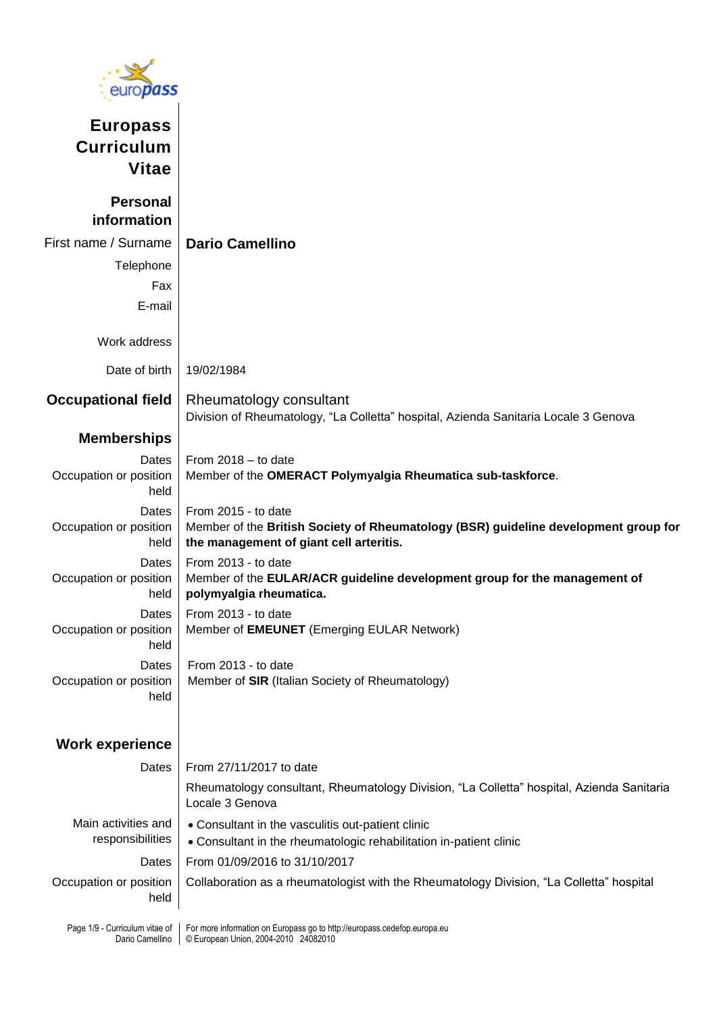

**Europass Curriculum Vitae**

| <b>Personal</b><br>information                    |                                                                                                                                                       |
|---------------------------------------------------|-------------------------------------------------------------------------------------------------------------------------------------------------------|
| First name / Surname                              | <b>Dario Camellino</b>                                                                                                                                |
| Telephone                                         |                                                                                                                                                       |
| Fax                                               |                                                                                                                                                       |
| E-mail                                            |                                                                                                                                                       |
| Work address                                      |                                                                                                                                                       |
| Date of birth                                     | 19/02/1984                                                                                                                                            |
| <b>Occupational field</b>                         | Rheumatology consultant<br>Division of Rheumatology, "La Colletta" hospital, Azienda Sanitaria Locale 3 Genova                                        |
| <b>Memberships</b>                                |                                                                                                                                                       |
| Dates<br>Occupation or position<br>held           | From $2018 -$ to date<br>Member of the OMERACT Polymyalgia Rheumatica sub-taskforce.                                                                  |
| Dates<br>Occupation or position<br>held           | From 2015 - to date<br>Member of the British Society of Rheumatology (BSR) guideline development group for<br>the management of giant cell arteritis. |
| Dates<br>Occupation or position<br>held           | From 2013 - to date<br>Member of the EULAR/ACR guideline development group for the management of<br>polymyalgia rheumatica.                           |
| Dates<br>Occupation or position<br>held           | From 2013 - to date<br>Member of <b>EMEUNET</b> (Emerging EULAR Network)                                                                              |
| Dates<br>Occupation or position<br>held           | From 2013 - to date<br>Member of SIR (Italian Society of Rheumatology)                                                                                |
| <b>Work experience</b>                            |                                                                                                                                                       |
| Dates                                             | From 27/11/2017 to date                                                                                                                               |
|                                                   | Rheumatology consultant, Rheumatology Division, "La Colletta" hospital, Azienda Sanitaria<br>Locale 3 Genova                                          |
| Main activities and<br>responsibilities           | • Consultant in the vasculitis out-patient clinic<br>• Consultant in the rheumatologic rehabilitation in-patient clinic                               |
| Dates                                             | From 01/09/2016 to 31/10/2017                                                                                                                         |
| Occupation or position<br>held                    | Collaboration as a rheumatologist with the Rheumatology Division, "La Colletta" hospital                                                              |
| Page 1/9 - Curriculum vitae of<br>Dario Camellino | For more information on Europass go to http://europass.cedefop.europa.eu<br>© European Union, 2004-2010 24082010                                      |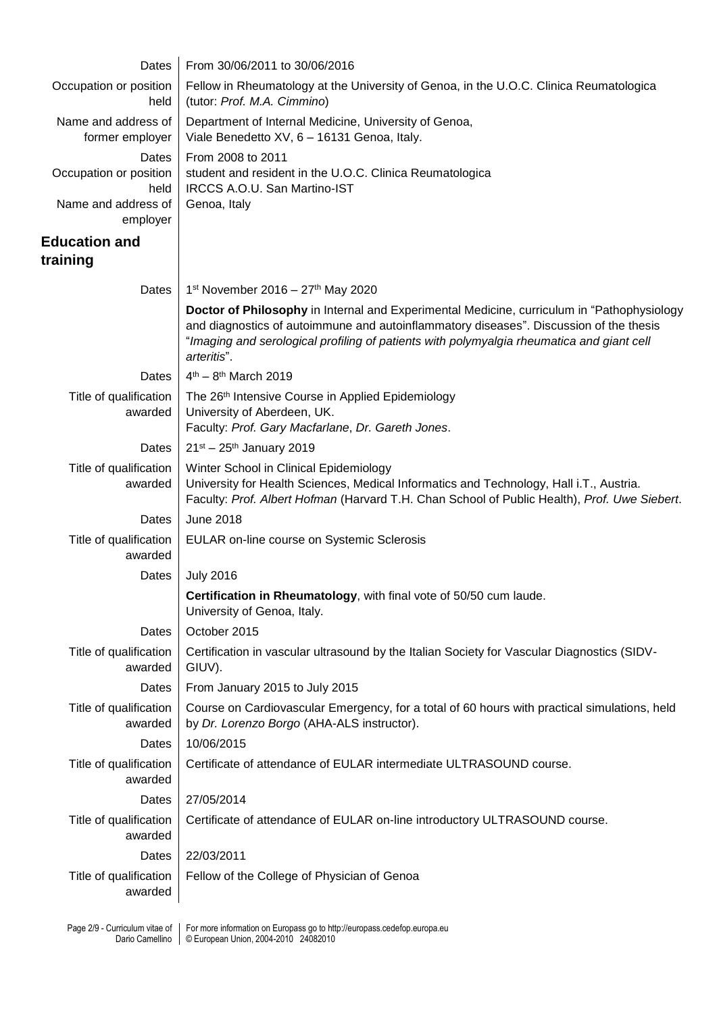| Dates                                                          | From 30/06/2011 to 30/06/2016                                                                                                                                                                                                                                                                    |
|----------------------------------------------------------------|--------------------------------------------------------------------------------------------------------------------------------------------------------------------------------------------------------------------------------------------------------------------------------------------------|
| Occupation or position<br>held                                 | Fellow in Rheumatology at the University of Genoa, in the U.O.C. Clinica Reumatologica<br>(tutor: Prof. M.A. Cimmino)                                                                                                                                                                            |
| Name and address of<br>former employer                         | Department of Internal Medicine, University of Genoa,<br>Viale Benedetto XV, 6 - 16131 Genoa, Italy.                                                                                                                                                                                             |
| Dates<br>Occupation or position<br>held<br>Name and address of | From 2008 to 2011<br>student and resident in the U.O.C. Clinica Reumatologica<br>IRCCS A.O.U. San Martino-IST<br>Genoa, Italy                                                                                                                                                                    |
| employer<br><b>Education and</b>                               |                                                                                                                                                                                                                                                                                                  |
| training                                                       |                                                                                                                                                                                                                                                                                                  |
| Dates                                                          | 1st November 2016 - $27th$ May 2020                                                                                                                                                                                                                                                              |
|                                                                | Doctor of Philosophy in Internal and Experimental Medicine, curriculum in "Pathophysiology<br>and diagnostics of autoimmune and autoinflammatory diseases". Discussion of the thesis<br>"Imaging and serological profiling of patients with polymyalgia rheumatica and giant cell<br>arteritis". |
| Dates                                                          | $4^{th} - 8^{th}$ March 2019                                                                                                                                                                                                                                                                     |
| Title of qualification<br>awarded                              | The 26th Intensive Course in Applied Epidemiology<br>University of Aberdeen, UK.<br>Faculty: Prof. Gary Macfarlane, Dr. Gareth Jones.                                                                                                                                                            |
| Dates                                                          | $21^{st} - 25^{th}$ January 2019                                                                                                                                                                                                                                                                 |
| Title of qualification<br>awarded                              | Winter School in Clinical Epidemiology<br>University for Health Sciences, Medical Informatics and Technology, Hall i.T., Austria.<br>Faculty: Prof. Albert Hofman (Harvard T.H. Chan School of Public Health), Prof. Uwe Siebert.                                                                |
| Dates                                                          | <b>June 2018</b>                                                                                                                                                                                                                                                                                 |
| Title of qualification<br>awarded                              | EULAR on-line course on Systemic Sclerosis                                                                                                                                                                                                                                                       |
| Dates                                                          | <b>July 2016</b>                                                                                                                                                                                                                                                                                 |
|                                                                | Certification in Rheumatology, with final vote of 50/50 cum laude.<br>University of Genoa, Italy.                                                                                                                                                                                                |
| Dates                                                          | October 2015                                                                                                                                                                                                                                                                                     |
| Title of qualification<br>awarded                              | Certification in vascular ultrasound by the Italian Society for Vascular Diagnostics (SIDV-<br>GIUV).                                                                                                                                                                                            |
| Dates                                                          | From January 2015 to July 2015                                                                                                                                                                                                                                                                   |
| Title of qualification<br>awarded                              | Course on Cardiovascular Emergency, for a total of 60 hours with practical simulations, held<br>by Dr. Lorenzo Borgo (AHA-ALS instructor).                                                                                                                                                       |
| Dates                                                          | 10/06/2015                                                                                                                                                                                                                                                                                       |
| Title of qualification<br>awarded                              | Certificate of attendance of EULAR intermediate ULTRASOUND course.                                                                                                                                                                                                                               |
| Dates                                                          | 27/05/2014                                                                                                                                                                                                                                                                                       |
| Title of qualification<br>awarded                              | Certificate of attendance of EULAR on-line introductory ULTRASOUND course.                                                                                                                                                                                                                       |
| Dates                                                          | 22/03/2011                                                                                                                                                                                                                                                                                       |
| Title of qualification<br>awarded                              | Fellow of the College of Physician of Genoa                                                                                                                                                                                                                                                      |
|                                                                | Page 2/9 - Curriculum vitae of   For more information on Europass go to http://europass.cedefop.europa.eu                                                                                                                                                                                        |

Dario Camellino

© European Union, 2004-2010 24082010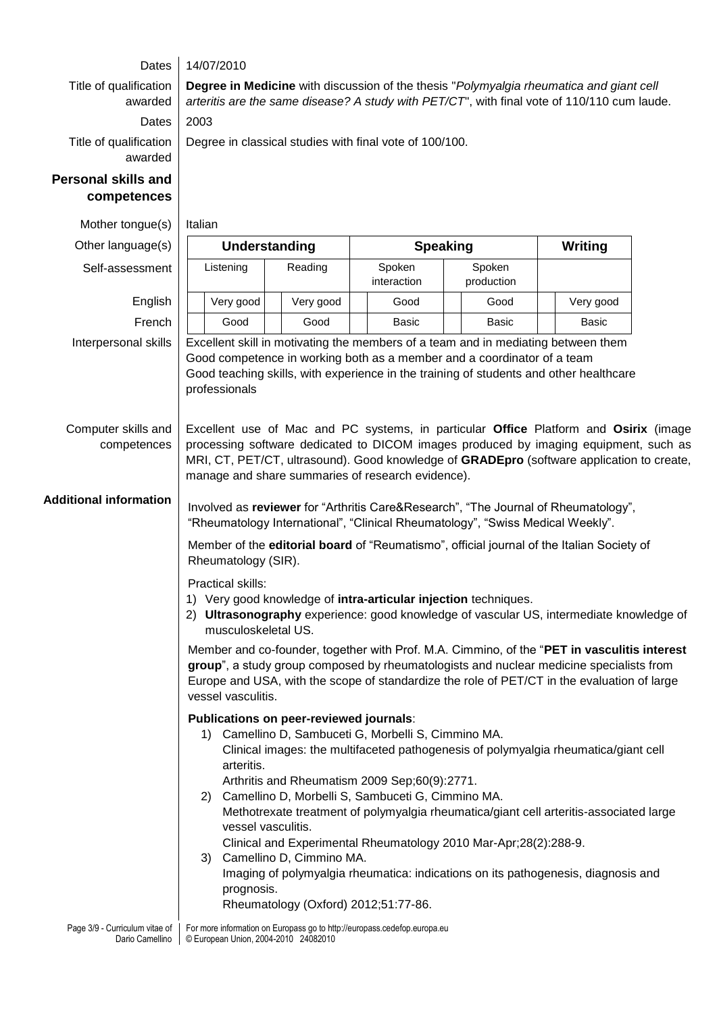## Dates 14/07/2010

Title of qualification awarded

Dates 2003 Title of qualification awarded

Dario Camellino

© European Union, 2004-2010 24082010

# **Personal skills and competences**

| Mother tongue(s)                                                                                          | Italian                                                                                                                                                                                                |                          |                                                                                                                                                                                                 |                                                                                                                                                              |                                                                                                                                                                                                                                                                                       |  |  |
|-----------------------------------------------------------------------------------------------------------|--------------------------------------------------------------------------------------------------------------------------------------------------------------------------------------------------------|--------------------------|-------------------------------------------------------------------------------------------------------------------------------------------------------------------------------------------------|--------------------------------------------------------------------------------------------------------------------------------------------------------------|---------------------------------------------------------------------------------------------------------------------------------------------------------------------------------------------------------------------------------------------------------------------------------------|--|--|
| Other language(s)                                                                                         | <b>Speaking</b><br>Understanding                                                                                                                                                                       |                          |                                                                                                                                                                                                 | <b>Writing</b>                                                                                                                                               |                                                                                                                                                                                                                                                                                       |  |  |
| Self-assessment                                                                                           | Listening                                                                                                                                                                                              | Reading                  | Spoken<br>interaction                                                                                                                                                                           | Spoken<br>production                                                                                                                                         |                                                                                                                                                                                                                                                                                       |  |  |
| English                                                                                                   | Very good                                                                                                                                                                                              | Very good                | Good                                                                                                                                                                                            | Good                                                                                                                                                         | Very good                                                                                                                                                                                                                                                                             |  |  |
| French                                                                                                    | Good                                                                                                                                                                                                   | Good                     | <b>Basic</b>                                                                                                                                                                                    | <b>Basic</b>                                                                                                                                                 | <b>Basic</b>                                                                                                                                                                                                                                                                          |  |  |
| Interpersonal skills                                                                                      | professionals                                                                                                                                                                                          |                          |                                                                                                                                                                                                 | Excellent skill in motivating the members of a team and in mediating between them<br>Good competence in working both as a member and a coordinator of a team | Good teaching skills, with experience in the training of students and other healthcare                                                                                                                                                                                                |  |  |
| Computer skills and<br>competences                                                                        |                                                                                                                                                                                                        |                          | manage and share summaries of research evidence).                                                                                                                                               |                                                                                                                                                              | Excellent use of Mac and PC systems, in particular Office Platform and Osirix (image<br>processing software dedicated to DICOM images produced by imaging equipment, such as<br>MRI, CT, PET/CT, ultrasound). Good knowledge of GRADEpro (software application to create,             |  |  |
| <b>Additional information</b>                                                                             | Involved as reviewer for "Arthritis Care&Research", "The Journal of Rheumatology",<br>"Rheumatology International", "Clinical Rheumatology", "Swiss Medical Weekly".                                   |                          |                                                                                                                                                                                                 |                                                                                                                                                              |                                                                                                                                                                                                                                                                                       |  |  |
|                                                                                                           | Member of the editorial board of "Reumatismo", official journal of the Italian Society of<br>Rheumatology (SIR).                                                                                       |                          |                                                                                                                                                                                                 |                                                                                                                                                              |                                                                                                                                                                                                                                                                                       |  |  |
|                                                                                                           | Practical skills:<br>1) Very good knowledge of intra-articular injection techniques.<br>2) Ultrasonography experience: good knowledge of vascular US, intermediate knowledge of<br>musculoskeletal US. |                          |                                                                                                                                                                                                 |                                                                                                                                                              |                                                                                                                                                                                                                                                                                       |  |  |
|                                                                                                           | vessel vasculitis.                                                                                                                                                                                     |                          |                                                                                                                                                                                                 |                                                                                                                                                              | Member and co-founder, together with Prof. M.A. Cimmino, of the "PET in vasculitis interest<br>group", a study group composed by rheumatologists and nuclear medicine specialists from<br>Europe and USA, with the scope of standardize the role of PET/CT in the evaluation of large |  |  |
|                                                                                                           | Publications on peer-reviewed journals:<br>1)<br>arteritis.<br>2)<br>vessel vasculitis.<br>3)<br>prognosis.                                                                                            | Camellino D, Cimmino MA. | Camellino D, Sambuceti G, Morbelli S, Cimmino MA.<br>Arthritis and Rheumatism 2009 Sep;60(9):2771.<br>Camellino D, Morbelli S, Sambuceti G, Cimmino MA.<br>Rheumatology (Oxford) 2012;51:77-86. | Clinical and Experimental Rheumatology 2010 Mar-Apr;28(2):288-9.                                                                                             | Clinical images: the multifaceted pathogenesis of polymyalgia rheumatica/giant cell<br>Methotrexate treatment of polymyalgia rheumatica/giant cell arteritis-associated large<br>Imaging of polymyalgia rheumatica: indications on its pathogenesis, diagnosis and                    |  |  |
| Page 3/9 - Curriculum vitae of   For more information on Europass go to http://europass.cedefop.europa.eu |                                                                                                                                                                                                        |                          |                                                                                                                                                                                                 |                                                                                                                                                              |                                                                                                                                                                                                                                                                                       |  |  |

**Degree in Medicine** with discussion of the thesis "*Polymyalgia rheumatica and giant cell arteritis are the same disease? A study with PET/CT*", with final vote of 110/110 cum laude.

Degree in classical studies with final vote of 100/100.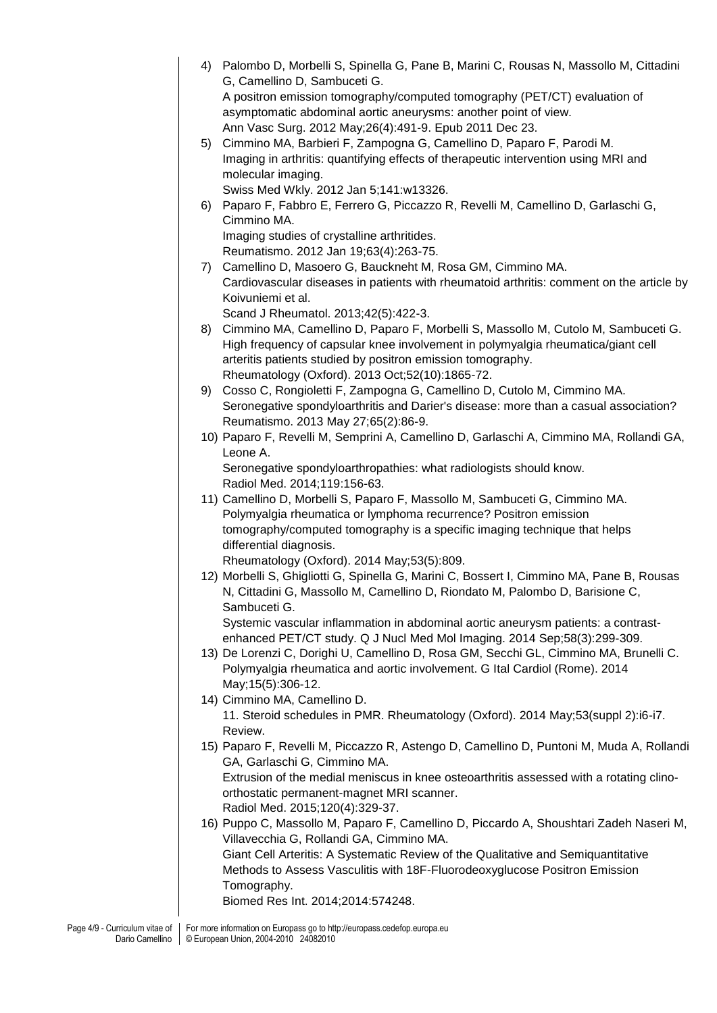4) Palombo D, Morbelli S, Spinella G, Pane B, Marini C, Rousas N, Massollo M, Cittadini G, Camellino D, Sambuceti G. A positron emission tomography/computed tomography (PET/CT) evaluation of asymptomatic abdominal aortic aneurysms: another point of view. Ann Vasc Surg. 2012 May;26(4):491-9. Epub 2011 Dec 23. 5) Cimmino MA, Barbieri F, Zampogna G, Camellino D, Paparo F, Parodi M. Imaging in arthritis: quantifying effects of therapeutic intervention using MRI and molecular imaging. Swiss Med Wkly. 2012 Jan 5;141:w13326. 6) Paparo F, Fabbro E, Ferrero G, Piccazzo R, Revelli M, Camellino D, Garlaschi G, Cimmino MA. Imaging studies of crystalline arthritides. Reumatismo. 2012 Jan 19;63(4):263-75. 7) Camellino D, Masoero G, Bauckneht M, Rosa GM, Cimmino MA. Cardiovascular diseases in patients with rheumatoid arthritis: comment on the article by Koivuniemi et al. Scand J Rheumatol. 2013;42(5):422-3. 8) Cimmino MA, Camellino D, Paparo F, Morbelli S, Massollo M, Cutolo M, Sambuceti G. High frequency of capsular knee involvement in polymyalgia rheumatica/giant cell arteritis patients studied by positron emission tomography. Rheumatology (Oxford). 2013 Oct;52(10):1865-72. 9) Cosso C, Rongioletti F, Zampogna G, Camellino D, Cutolo M, Cimmino MA. Seronegative spondyloarthritis and Darier's disease: more than a casual association? Reumatismo. 2013 May 27;65(2):86-9. 10) Paparo F, Revelli M, Semprini A, Camellino D, Garlaschi A, Cimmino MA, Rollandi GA, Leone A. Seronegative spondyloarthropathies: what radiologists should know. Radiol Med. 2014;119:156-63. 11) Camellino D, Morbelli S, Paparo F, Massollo M, Sambuceti G, Cimmino MA. Polymyalgia rheumatica or lymphoma recurrence? Positron emission tomography/computed tomography is a specific imaging technique that helps differential diagnosis. Rheumatology (Oxford). 2014 May;53(5):809. 12) Morbelli S, Ghigliotti G, Spinella G, Marini C, Bossert I, Cimmino MA, Pane B, Rousas N, Cittadini G, Massollo M, Camellino D, Riondato M, Palombo D, Barisione C, Sambuceti G. Systemic vascular inflammation in abdominal aortic aneurysm patients: a contrastenhanced PET/CT study. Q J Nucl Med Mol Imaging. 2014 Sep;58(3):299-309. 13) De Lorenzi C, Dorighi U, Camellino D, Rosa GM, Secchi GL, Cimmino MA, Brunelli C. Polymyalgia rheumatica and aortic involvement. G Ital Cardiol (Rome). 2014 May;15(5):306-12. 14) Cimmino MA, Camellino D. 11. Steroid schedules in PMR. Rheumatology (Oxford). 2014 May;53(suppl 2):i6-i7. Review. 15) Paparo F, Revelli M, Piccazzo R, Astengo D, Camellino D, Puntoni M, Muda A, Rollandi GA, Garlaschi G, Cimmino MA. Extrusion of the medial meniscus in knee osteoarthritis assessed with a rotating clinoorthostatic permanent-magnet MRI scanner. Radiol Med. 2015;120(4):329-37. 16) Puppo C, Massollo M, Paparo F, Camellino D, Piccardo A, Shoushtari Zadeh Naseri M, Villavecchia G, Rollandi GA, Cimmino MA. Giant Cell Arteritis: A Systematic Review of the Qualitative and Semiquantitative Methods to Assess Vasculitis with 18F-Fluorodeoxyglucose Positron Emission Tomography. Biomed Res Int. 2014;2014:574248.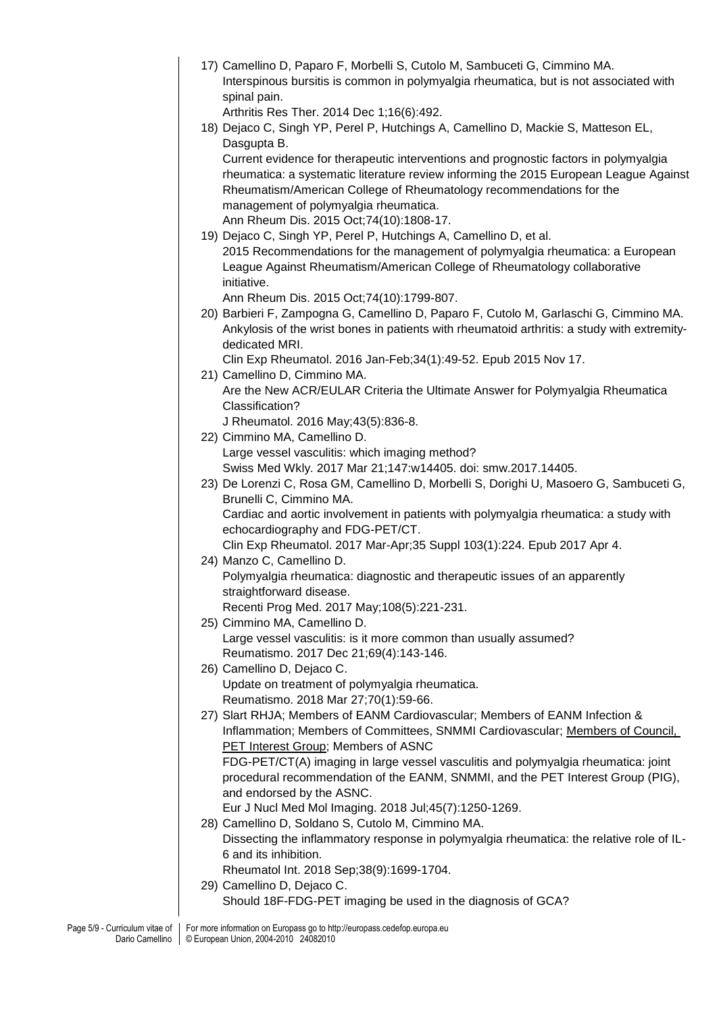| Interspinous bursitis is common in polymyalgia rheumatica, but is not associated with<br>spinal pain.                                                                                                                                                                                                                                      |
|--------------------------------------------------------------------------------------------------------------------------------------------------------------------------------------------------------------------------------------------------------------------------------------------------------------------------------------------|
| Arthritis Res Ther. 2014 Dec 1;16(6):492.                                                                                                                                                                                                                                                                                                  |
| 18) Dejaco C, Singh YP, Perel P, Hutchings A, Camellino D, Mackie S, Matteson EL,                                                                                                                                                                                                                                                          |
| Dasgupta B.                                                                                                                                                                                                                                                                                                                                |
| Current evidence for therapeutic interventions and prognostic factors in polymyalgia<br>rheumatica: a systematic literature review informing the 2015 European League Against<br>Rheumatism/American College of Rheumatology recommendations for the<br>management of polymyalgia rheumatica.<br>Ann Rheum Dis. 2015 Oct; 74(10): 1808-17. |
| 19) Dejaco C, Singh YP, Perel P, Hutchings A, Camellino D, et al.                                                                                                                                                                                                                                                                          |
| 2015 Recommendations for the management of polymyalgia rheumatica: a European<br>League Against Rheumatism/American College of Rheumatology collaborative<br>initiative.                                                                                                                                                                   |
| Ann Rheum Dis. 2015 Oct; 74(10): 1799-807.                                                                                                                                                                                                                                                                                                 |
| 20) Barbieri F, Zampogna G, Camellino D, Paparo F, Cutolo M, Garlaschi G, Cimmino MA.<br>Ankylosis of the wrist bones in patients with rheumatoid arthritis: a study with extremity-<br>dedicated MRI.                                                                                                                                     |
| Clin Exp Rheumatol. 2016 Jan-Feb; 34(1): 49-52. Epub 2015 Nov 17.                                                                                                                                                                                                                                                                          |
| 21) Camellino D, Cimmino MA.                                                                                                                                                                                                                                                                                                               |
| Are the New ACR/EULAR Criteria the Ultimate Answer for Polymyalgia Rheumatica                                                                                                                                                                                                                                                              |
| Classification?<br>J Rheumatol. 2016 May; 43(5): 836-8.                                                                                                                                                                                                                                                                                    |
| 22) Cimmino MA, Camellino D.                                                                                                                                                                                                                                                                                                               |
| Large vessel vasculitis: which imaging method?                                                                                                                                                                                                                                                                                             |
| Swiss Med Wkly. 2017 Mar 21;147:w14405. doi: smw.2017.14405.                                                                                                                                                                                                                                                                               |
| 23) De Lorenzi C, Rosa GM, Camellino D, Morbelli S, Dorighi U, Masoero G, Sambuceti G,                                                                                                                                                                                                                                                     |
| Brunelli C, Cimmino MA.                                                                                                                                                                                                                                                                                                                    |
| Cardiac and aortic involvement in patients with polymyalgia rheumatica: a study with                                                                                                                                                                                                                                                       |
| echocardiography and FDG-PET/CT.                                                                                                                                                                                                                                                                                                           |
| Clin Exp Rheumatol. 2017 Mar-Apr;35 Suppl 103(1):224. Epub 2017 Apr 4.<br>24) Manzo C, Camellino D.                                                                                                                                                                                                                                        |
| Polymyalgia rheumatica: diagnostic and therapeutic issues of an apparently                                                                                                                                                                                                                                                                 |
| straightforward disease.                                                                                                                                                                                                                                                                                                                   |
| Recenti Prog Med. 2017 May; 108(5): 221-231.                                                                                                                                                                                                                                                                                               |
| 25) Cimmino MA, Camellino D.                                                                                                                                                                                                                                                                                                               |
| Large vessel vasculitis: is it more common than usually assumed?                                                                                                                                                                                                                                                                           |
| Reumatismo. 2017 Dec 21;69(4):143-146.                                                                                                                                                                                                                                                                                                     |
| 26) Camellino D, Dejaco C.                                                                                                                                                                                                                                                                                                                 |
| Update on treatment of polymyalgia rheumatica.                                                                                                                                                                                                                                                                                             |
| Reumatismo. 2018 Mar 27;70(1):59-66.                                                                                                                                                                                                                                                                                                       |
| 27) Slart RHJA; Members of EANM Cardiovascular; Members of EANM Infection &<br>Inflammation; Members of Committees, SNMMI Cardiovascular; Members of Council,                                                                                                                                                                              |
| PET Interest Group; Members of ASNC                                                                                                                                                                                                                                                                                                        |
| FDG-PET/CT(A) imaging in large vessel vasculitis and polymyalgia rheumatica: joint                                                                                                                                                                                                                                                         |
| procedural recommendation of the EANM, SNMMI, and the PET Interest Group (PIG),                                                                                                                                                                                                                                                            |
| and endorsed by the ASNC.                                                                                                                                                                                                                                                                                                                  |
| Eur J Nucl Med Mol Imaging. 2018 Jul; 45(7): 1250-1269.                                                                                                                                                                                                                                                                                    |
| 28) Camellino D, Soldano S, Cutolo M, Cimmino MA.                                                                                                                                                                                                                                                                                          |
| Dissecting the inflammatory response in polymyalgia rheumatica: the relative role of IL-<br>6 and its inhibition.                                                                                                                                                                                                                          |
| Rheumatol Int. 2018 Sep;38(9):1699-1704.                                                                                                                                                                                                                                                                                                   |
|                                                                                                                                                                                                                                                                                                                                            |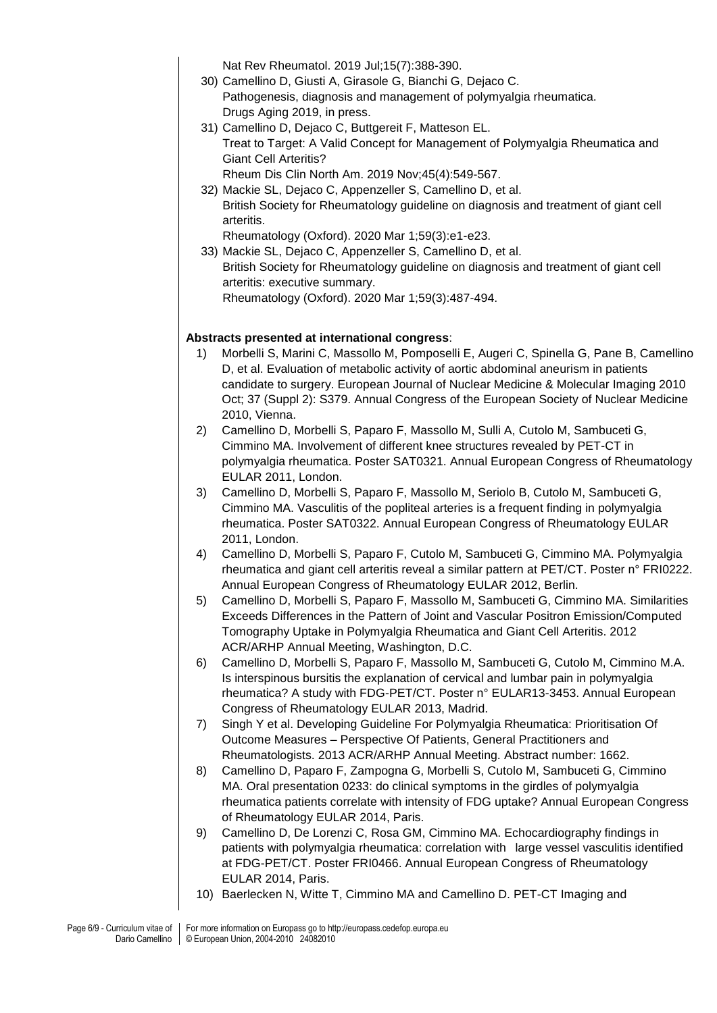Nat Rev Rheumatol. 2019 Jul;15(7):388-390.

- 30) Camellino D, Giusti A, Girasole G, Bianchi G, Dejaco C. Pathogenesis, diagnosis and management of polymyalgia rheumatica. Drugs Aging 2019, in press.
- 31) Camellino D, Dejaco C, Buttgereit F, Matteson EL. Treat to Target: A Valid Concept for Management of Polymyalgia Rheumatica and Giant Cell Arteritis?

Rheum Dis Clin North Am. 2019 Nov;45(4):549-567.

32) Mackie SL, Dejaco C, Appenzeller S, Camellino D, et al. British Society for Rheumatology guideline on diagnosis and treatment of giant cell arteritis.

Rheumatology (Oxford). 2020 Mar 1;59(3):e1-e23.

33) Mackie SL, Dejaco C, Appenzeller S, Camellino D, et al. British Society for Rheumatology guideline on diagnosis and treatment of giant cell arteritis: executive summary. Rheumatology (Oxford). 2020 Mar 1;59(3):487-494.

### **Abstracts presented at international congress**:

- 1) Morbelli S, Marini C, Massollo M, Pomposelli E, Augeri C, Spinella G, Pane B, Camellino D, et al. Evaluation of metabolic activity of aortic abdominal aneurism in patients candidate to surgery. European Journal of Nuclear Medicine & Molecular Imaging 2010 Oct; 37 (Suppl 2): S379. Annual Congress of the European Society of Nuclear Medicine 2010, Vienna.
- 2) Camellino D, Morbelli S, Paparo F, Massollo M, Sulli A, Cutolo M, Sambuceti G, Cimmino MA. Involvement of different knee structures revealed by PET-CT in polymyalgia rheumatica. Poster SAT0321. Annual European Congress of Rheumatology EULAR 2011, London.
- 3) Camellino D, Morbelli S, Paparo F, Massollo M, Seriolo B, Cutolo M, Sambuceti G, Cimmino MA. Vasculitis of the popliteal arteries is a frequent finding in polymyalgia rheumatica. Poster SAT0322. Annual European Congress of Rheumatology EULAR 2011, London.
- 4) Camellino D, Morbelli S, Paparo F, Cutolo M, Sambuceti G, Cimmino MA. Polymyalgia rheumatica and giant cell arteritis reveal a similar pattern at PET/CT. Poster n° FRI0222. Annual European Congress of Rheumatology EULAR 2012, Berlin.
- 5) Camellino D, Morbelli S, Paparo F, Massollo M, Sambuceti G, Cimmino MA. Similarities Exceeds Differences in the Pattern of Joint and Vascular Positron Emission/Computed Tomography Uptake in Polymyalgia Rheumatica and Giant Cell Arteritis. 2012 ACR/ARHP Annual Meeting, Washington, D.C.
- 6) Camellino D, Morbelli S, Paparo F, Massollo M, Sambuceti G, Cutolo M, Cimmino M.A. Is interspinous bursitis the explanation of cervical and lumbar pain in polymyalgia rheumatica? A study with FDG-PET/CT. Poster n° EULAR13-3453. Annual European Congress of Rheumatology EULAR 2013, Madrid.
- 7) Singh Y et al. Developing Guideline For Polymyalgia Rheumatica: Prioritisation Of Outcome Measures – Perspective Of Patients, General Practitioners and Rheumatologists. 2013 ACR/ARHP Annual Meeting. Abstract number: 1662.
- 8) Camellino D, Paparo F, Zampogna G, Morbelli S, Cutolo M, Sambuceti G, Cimmino MA. Oral presentation 0233: do clinical symptoms in the girdles of polymyalgia rheumatica patients correlate with intensity of FDG uptake? Annual European Congress of Rheumatology EULAR 2014, Paris.
- 9) Camellino D, De Lorenzi C, Rosa GM, Cimmino MA. Echocardiography findings in patients with polymyalgia rheumatica: correlation with large vessel vasculitis identified at FDG-PET/CT. Poster FRI0466. Annual European Congress of Rheumatology EULAR 2014, Paris.
- 10) Baerlecken N, Witte T, Cimmino MA and Camellino D. PET-CT Imaging and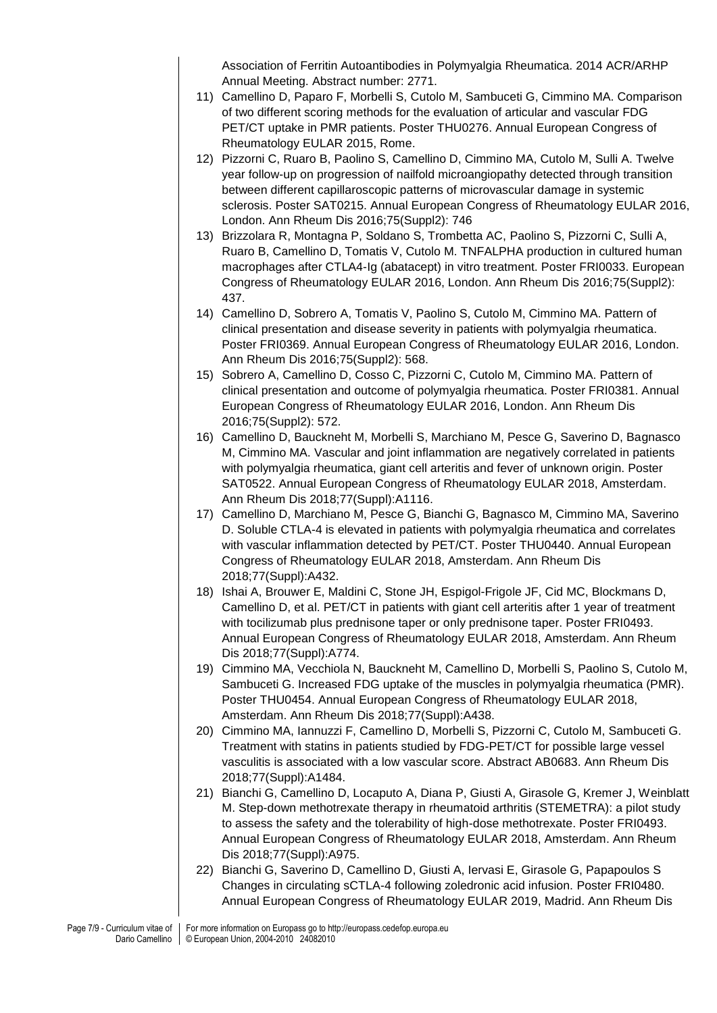Association of Ferritin Autoantibodies in Polymyalgia Rheumatica. 2014 ACR/ARHP Annual Meeting. Abstract number: 2771.

- 11) Camellino D, Paparo F, Morbelli S, Cutolo M, Sambuceti G, Cimmino MA. Comparison of two different scoring methods for the evaluation of articular and vascular FDG PET/CT uptake in PMR patients. Poster THU0276. Annual European Congress of Rheumatology EULAR 2015, Rome.
- 12) Pizzorni C, Ruaro B, Paolino S, Camellino D, Cimmino MA, Cutolo M, Sulli A. Twelve year follow-up on progression of nailfold microangiopathy detected through transition between different capillaroscopic patterns of microvascular damage in systemic sclerosis. Poster SAT0215. Annual European Congress of Rheumatology EULAR 2016, London. Ann Rheum Dis 2016;75(Suppl2): 746
- 13) Brizzolara R, Montagna P, Soldano S, Trombetta AC, Paolino S, Pizzorni C, Sulli A, Ruaro B, Camellino D, Tomatis V, Cutolo M. TNFALPHA production in cultured human macrophages after CTLA4-Ig (abatacept) in vitro treatment. Poster FRI0033. European Congress of Rheumatology EULAR 2016, London. Ann Rheum Dis 2016;75(Suppl2): 437.
- 14) Camellino D, Sobrero A, Tomatis V, Paolino S, Cutolo M, Cimmino MA. Pattern of clinical presentation and disease severity in patients with polymyalgia rheumatica. Poster FRI0369. Annual European Congress of Rheumatology EULAR 2016, London. Ann Rheum Dis 2016;75(Suppl2): 568.
- 15) Sobrero A, Camellino D, Cosso C, Pizzorni C, Cutolo M, Cimmino MA. Pattern of clinical presentation and outcome of polymyalgia rheumatica. Poster FRI0381. Annual European Congress of Rheumatology EULAR 2016, London. Ann Rheum Dis 2016;75(Suppl2): 572.
- 16) Camellino D, Bauckneht M, Morbelli S, Marchiano M, Pesce G, Saverino D, Bagnasco M, Cimmino MA. Vascular and joint inflammation are negatively correlated in patients with polymyalgia rheumatica, giant cell arteritis and fever of unknown origin. Poster SAT0522. Annual European Congress of Rheumatology EULAR 2018, Amsterdam. Ann Rheum Dis 2018;77(Suppl):A1116.
- 17) Camellino D, Marchiano M, Pesce G, Bianchi G, Bagnasco M, Cimmino MA, Saverino D. Soluble CTLA-4 is elevated in patients with polymyalgia rheumatica and correlates with vascular inflammation detected by PET/CT. Poster THU0440. Annual European Congress of Rheumatology EULAR 2018, Amsterdam. Ann Rheum Dis 2018;77(Suppl):A432.
- 18) Ishai A, Brouwer E, Maldini C, Stone JH, Espigol-Frigole JF, Cid MC, Blockmans D, Camellino D, et al. PET/CT in patients with giant cell arteritis after 1 year of treatment with tocilizumab plus prednisone taper or only prednisone taper. Poster FRI0493. Annual European Congress of Rheumatology EULAR 2018, Amsterdam. Ann Rheum Dis 2018;77(Suppl):A774.
- 19) Cimmino MA, Vecchiola N, Bauckneht M, Camellino D, Morbelli S, Paolino S, Cutolo M, Sambuceti G. Increased FDG uptake of the muscles in polymyalgia rheumatica (PMR). Poster THU0454. Annual European Congress of Rheumatology EULAR 2018, Amsterdam. Ann Rheum Dis 2018;77(Suppl):A438.
- 20) Cimmino MA, Iannuzzi F, Camellino D, Morbelli S, Pizzorni C, Cutolo M, Sambuceti G. Treatment with statins in patients studied by FDG-PET/CT for possible large vessel vasculitis is associated with a low vascular score. Abstract AB0683. Ann Rheum Dis 2018;77(Suppl):A1484.
- 21) Bianchi G, Camellino D, Locaputo A, Diana P, Giusti A, Girasole G, Kremer J, Weinblatt M. Step-down methotrexate therapy in rheumatoid arthritis (STEMETRA): a pilot study to assess the safety and the tolerability of high-dose methotrexate. Poster FRI0493. Annual European Congress of Rheumatology EULAR 2018, Amsterdam. Ann Rheum Dis 2018;77(Suppl):A975.
- 22) Bianchi G, Saverino D, Camellino D, Giusti A, Iervasi E, Girasole G, Papapoulos S Changes in circulating sCTLA-4 following zoledronic acid infusion. Poster FRI0480. Annual European Congress of Rheumatology EULAR 2019, Madrid. Ann Rheum Dis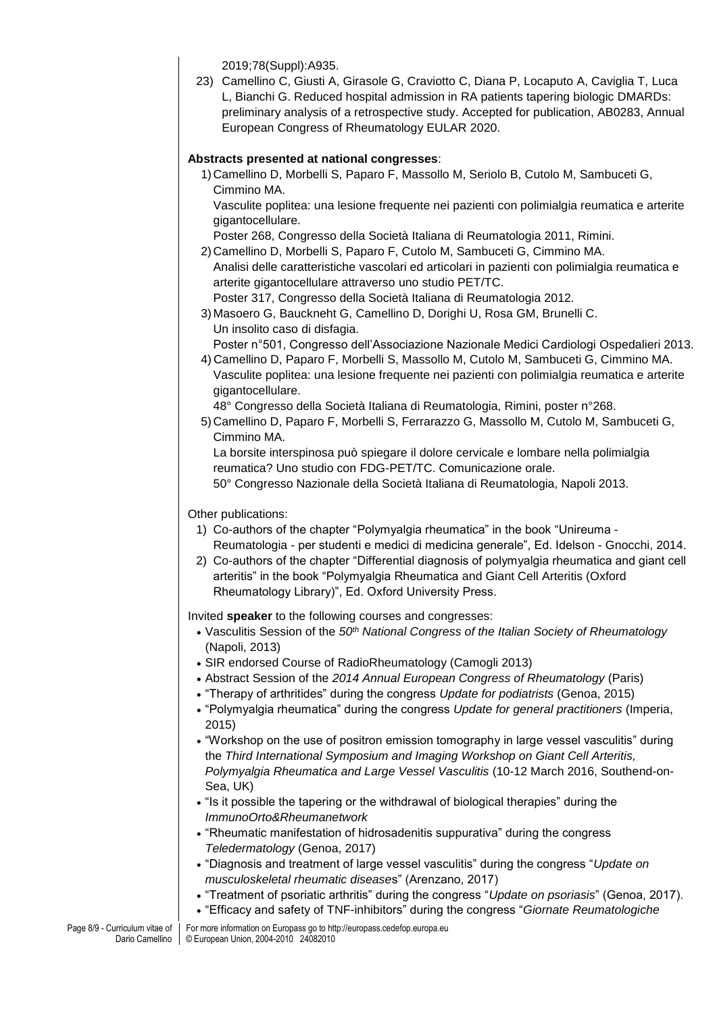2019;78(Suppl):A935.

23) Camellino C, Giusti A, Girasole G, Craviotto C, Diana P, Locaputo A, Caviglia T, Luca L, Bianchi G. Reduced hospital admission in RA patients tapering biologic DMARDs: preliminary analysis of a retrospective study. Accepted for publication, AB0283, Annual European Congress of Rheumatology EULAR 2020.

### **Abstracts presented at national congresses**:

1) Camellino D, Morbelli S, Paparo F, Massollo M, Seriolo B, Cutolo M, Sambuceti G, Cimmino MA. Vasculite poplitea: una lesione frequente nei pazienti con polimialgia reumatica e arterite

gigantocellulare.

Poster 268, Congresso della Società Italiana di Reumatologia 2011, Rimini.

- 2) Camellino D, Morbelli S, Paparo F, Cutolo M, Sambuceti G, Cimmino MA. Analisi delle caratteristiche vascolari ed articolari in pazienti con polimialgia reumatica e arterite gigantocellulare attraverso uno studio PET/TC. Poster 317, Congresso della Società Italiana di Reumatologia 2012.
- 3) Masoero G, Bauckneht G, Camellino D, Dorighi U, Rosa GM, Brunelli C. Un insolito caso di disfagia.

Poster n°501, Congresso dell'Associazione Nazionale Medici Cardiologi Ospedalieri 2013.

4) Camellino D, Paparo F, Morbelli S, Massollo M, Cutolo M, Sambuceti G, Cimmino MA. Vasculite poplitea: una lesione frequente nei pazienti con polimialgia reumatica e arterite gigantocellulare.

48° Congresso della Società Italiana di Reumatologia, Rimini, poster n°268.

5) Camellino D, Paparo F, Morbelli S, Ferrarazzo G, Massollo M, Cutolo M, Sambuceti G, Cimmino MA.

La borsite interspinosa può spiegare il dolore cervicale e lombare nella polimialgia reumatica? Uno studio con FDG-PET/TC. Comunicazione orale.

50° Congresso Nazionale della Società Italiana di Reumatologia, Napoli 2013.

#### Other publications:

- 1) Co-authors of the chapter "Polymyalgia rheumatica" in the book "Unireuma Reumatologia - per studenti e medici di medicina generale", Ed. Idelson - Gnocchi, 2014.
- 2) Co-authors of the chapter "Differential diagnosis of polymyalgia rheumatica and giant cell arteritis" in the book "Polymyalgia Rheumatica and Giant Cell Arteritis (Oxford Rheumatology Library)", Ed. Oxford University Press.

Invited **speaker** to the following courses and congresses:

- Vasculitis Session of the *50th National Congress of the Italian Society of Rheumatology*  (Napoli, 2013)
- SIR endorsed Course of RadioRheumatology (Camogli 2013)
- Abstract Session of the *2014 Annual European Congress of Rheumatology* (Paris)
- "Therapy of arthritides" during the congress *Update for podiatrists* (Genoa, 2015)
- "Polymyalgia rheumatica" during the congress *Update for general practitioners* (Imperia, 2015)
- "Workshop on the use of positron emission tomography in large vessel vasculitis" during the *Third International Symposium and Imaging Workshop on Giant Cell Arteritis, Polymyalgia Rheumatica and Large Vessel Vasculitis* (10-12 March 2016, Southend-on-Sea, UK)
- "Is it possible the tapering or the withdrawal of biological therapies" during the *ImmunoOrto&Rheumanetwork*
- "Rheumatic manifestation of hidrosadenitis suppurativa" during the congress *Teledermatology* (Genoa, 2017)
- "Diagnosis and treatment of large vessel vasculitis" during the congress "*Update on musculoskeletal rheumatic disease*s" (Arenzano, 2017)
- "Treatment of psoriatic arthritis" during the congress "*Update on psoriasis*" (Genoa, 2017).
- "Efficacy and safety of TNF-inhibitors" during the congress "*Giornate Reumatologiche*